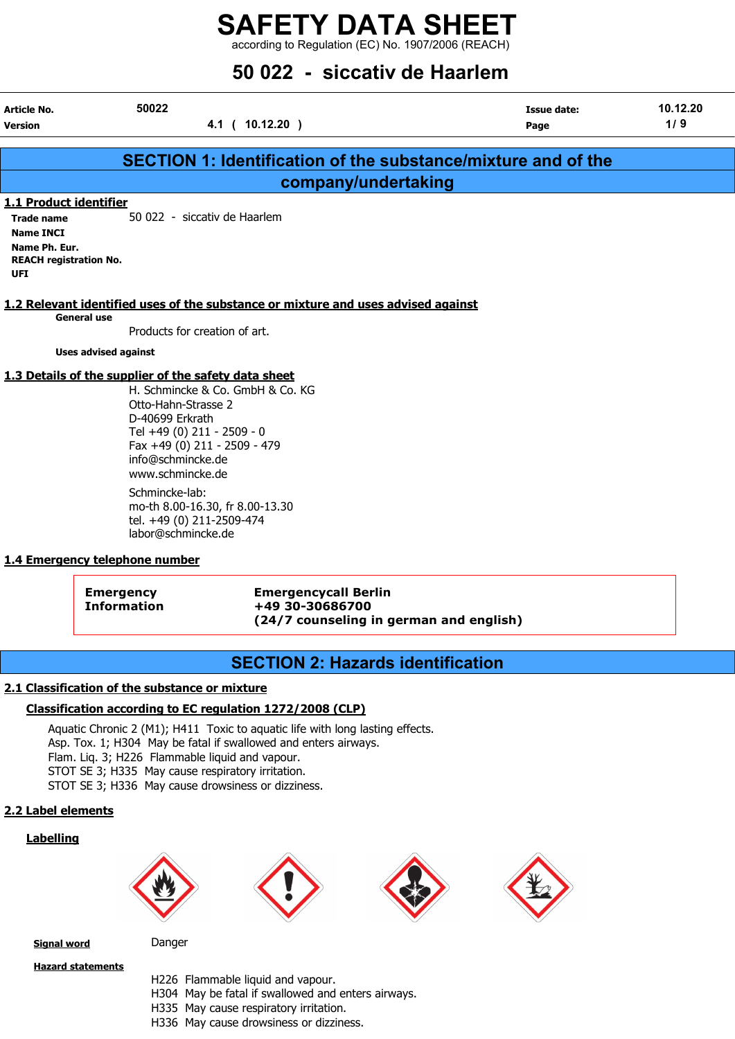according to Regulation (EC) No. 1907/2006 (REACH)

## 50 022 - siccativ de Haarlem

| Article No.                                                  | 50022                                                                                                         | Issue date: | 10.12.20 |
|--------------------------------------------------------------|---------------------------------------------------------------------------------------------------------------|-------------|----------|
| <b>Version</b>                                               | $10.12.20$ )<br>4.1<br>$\sqrt{ }$                                                                             | Page        | 1/9      |
|                                                              |                                                                                                               |             |          |
|                                                              | SECTION 1: Identification of the substance/mixture and of the                                                 |             |          |
|                                                              | company/undertaking                                                                                           |             |          |
| 1.1 Product identifier                                       |                                                                                                               |             |          |
| <b>Trade name</b>                                            | 50 022 - siccativ de Haarlem                                                                                  |             |          |
| Name INCI                                                    |                                                                                                               |             |          |
| Name Ph. Eur.<br><b>REACH registration No.</b><br><b>UFI</b> |                                                                                                               |             |          |
|                                                              | di A. A. Harrison, bibliografica di come da filme estimativa e este contratore e accesi della contratta della |             |          |

#### 1.2 Relevant identified uses of the substance or mixture and uses advised against

General use Products for creation of art.

Uses advised against

#### 1.3 Details of the supplier of the safety data sheet

H. Schmincke & Co. GmbH & Co. KG Otto-Hahn-Strasse 2 D-40699 Erkrath Tel +49 (0) 211 - 2509 - 0 Fax +49 (0) 211 - 2509 - 479 info@schmincke.de www.schmincke.de Schmincke-lab: mo-th 8.00-16.30, fr 8.00-13.30 tel. +49 (0) 211-2509-474

labor@schmincke.de

#### 1.4 Emergency telephone number

Emergency Emergencycall Berlin Information +49 30-30686700 (24/7 counseling in german and english)

## SECTION 2: Hazards identification

#### 2.1 Classification of the substance or mixture

#### Classification according to EC regulation 1272/2008 (CLP)

Aquatic Chronic 2 (M1); H411 Toxic to aquatic life with long lasting effects. Asp. Tox. 1; H304 May be fatal if swallowed and enters airways. Flam. Liq. 3; H226 Flammable liquid and vapour. STOT SE 3; H335 May cause respiratory irritation. STOT SE 3; H336 May cause drowsiness or dizziness.

#### 2.2 Label elements

#### Labelling









**Signal word** Danger

Hazard statements

- H226 Flammable liquid and vapour.
- H304 May be fatal if swallowed and enters airways.
- H335 May cause respiratory irritation.
- H336 May cause drowsiness or dizziness.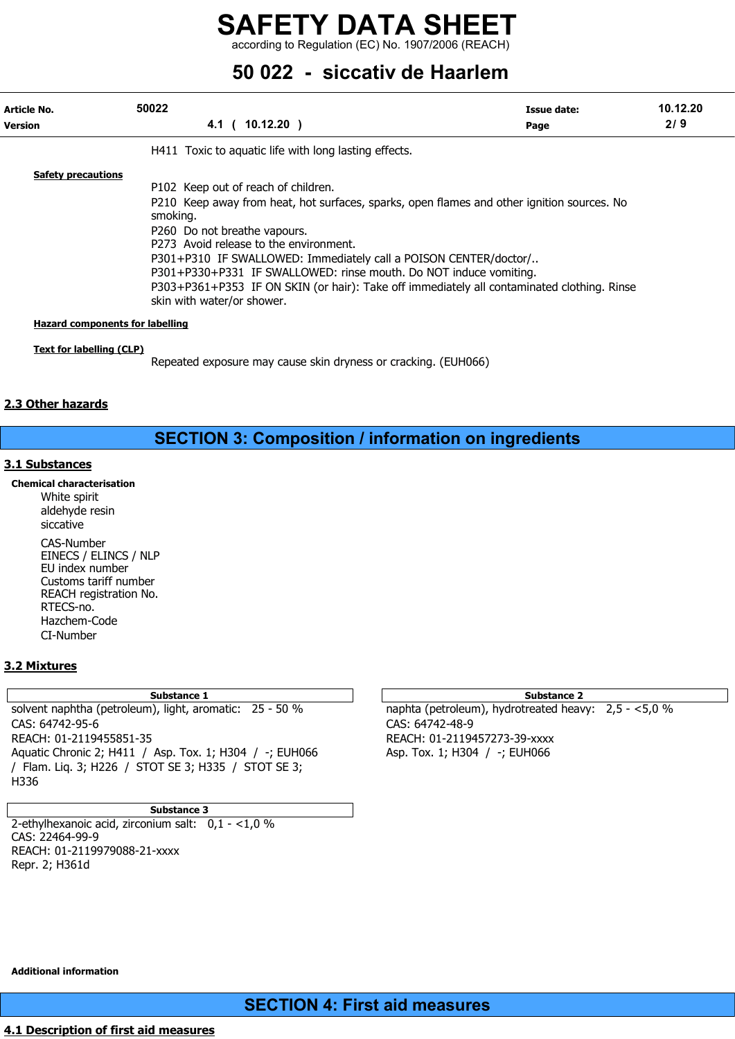according to Regulation (EC) No. 1907/2006 (REACH)

## 50 022 - siccativ de Haarlem

| Article No.<br><b>Version</b>          | 50022<br>4.1 ( 10.12.20 )                                                                                                                                                                                                                                                                                                                                                                                                                                                                    | Issue date:<br>Page | 10.12.20<br>2/9 |
|----------------------------------------|----------------------------------------------------------------------------------------------------------------------------------------------------------------------------------------------------------------------------------------------------------------------------------------------------------------------------------------------------------------------------------------------------------------------------------------------------------------------------------------------|---------------------|-----------------|
|                                        | H411 Toxic to aguatic life with long lasting effects.                                                                                                                                                                                                                                                                                                                                                                                                                                        |                     |                 |
| <b>Safety precautions</b>              | P102 Keep out of reach of children.<br>P210 Keep away from heat, hot surfaces, sparks, open flames and other ignition sources. No<br>smoking.<br>P260 Do not breathe vapours.<br>P273 Avoid release to the environment.<br>P301+P310 IF SWALLOWED: Immediately call a POISON CENTER/doctor/<br>P301+P330+P331 IF SWALLOWED: rinse mouth. Do NOT induce vomiting.<br>P303+P361+P353 IF ON SKIN (or hair): Take off immediately all contaminated clothing. Rinse<br>skin with water/or shower. |                     |                 |
| <b>Hazard components for labelling</b> |                                                                                                                                                                                                                                                                                                                                                                                                                                                                                              |                     |                 |
| <b>Text for labelling (CLP)</b>        | Repeated exposure may cause skin dryness or cracking. (EUH066)                                                                                                                                                                                                                                                                                                                                                                                                                               |                     |                 |

#### 2.3 Other hazards

## SECTION 3: Composition / information on ingredients

#### 3.1 Substances

Chemical characterisation

White spirit aldehyde resin siccative CAS-Number EINECS / ELINCS / NLP EU index number Customs tariff number REACH registration No. RTECS-no. Hazchem-Code CI-Number

#### 3.2 Mixtures

solvent naphtha (petroleum), light, aromatic: 25 - 50 % naphta (petroleum), hydrotreated heavy: 2,5 - <5,0 % CAS: 64742-95-6 CAS: 64742-48-9 REACH: 01-2119455851-35 REACH: 01-2119457273-39-xxxx Aquatic Chronic 2; H411 / Asp. Tox. 1; H304 / -; EUH066 Asp. Tox. 1; H304 / -; EUH066 / Flam. Liq. 3; H226 / STOT SE 3; H335 / STOT SE 3; H336

Substance 3

2-ethylhexanoic acid, zirconium salt:  $0.1 - 1.0 \%$ CAS: 22464-99-9 REACH: 01-2119979088-21-xxxx Repr. 2; H361d

#### Substance 1 and 2 Substance 2 and 3 Substance 2 and 3 Substance 2 and 3 Substance 2 and 3 Substance 2

Additional information

## SECTION 4: First aid measures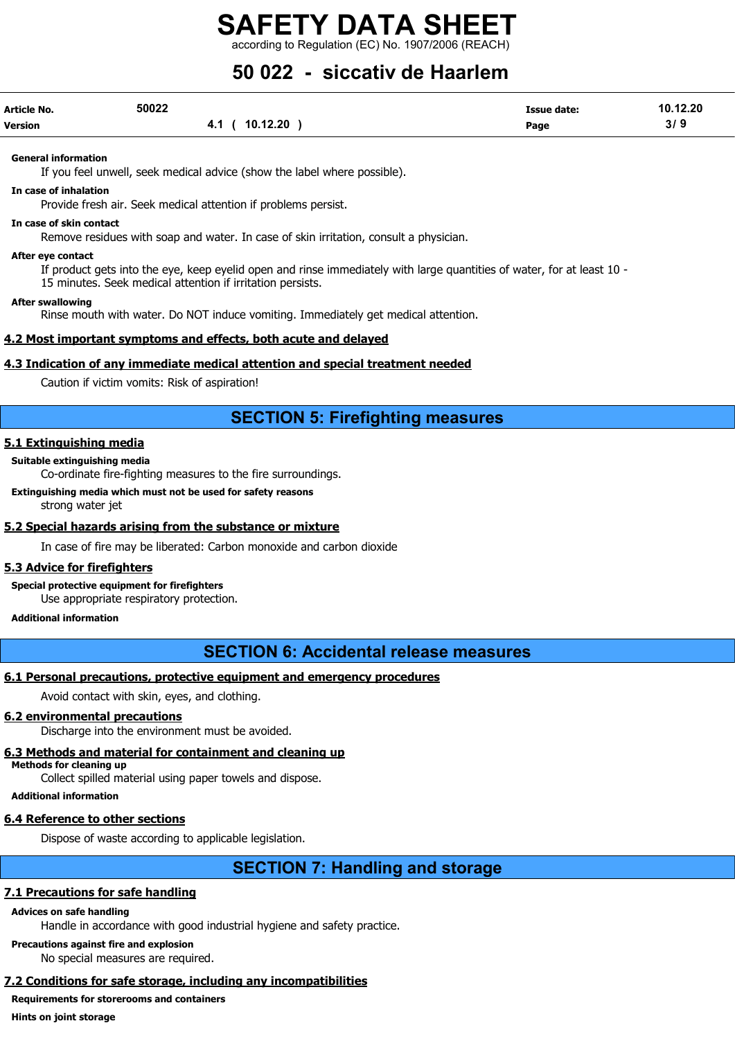according to Regulation (EC) No. 1907/2006 (REACH)

## 50 022 - siccativ de Haarlem

| <b>Article No.</b> | 50022           | <b>Issue date:</b> | 10.12.20 |
|--------------------|-----------------|--------------------|----------|
| Version            | 10.12.20<br>4.1 | Page               | 319      |

General information

If you feel unwell, seek medical advice (show the label where possible).

In case of inhalation

Provide fresh air. Seek medical attention if problems persist.

#### In case of skin contact

Remove residues with soap and water. In case of skin irritation, consult a physician.

#### After eye contact

If product gets into the eye, keep eyelid open and rinse immediately with large quantities of water, for at least 10 - 15 minutes. Seek medical attention if irritation persists.

After swallowing

Rinse mouth with water. Do NOT induce vomiting. Immediately get medical attention.

#### 4.2 Most important symptoms and effects, both acute and delayed

#### 4.3 Indication of any immediate medical attention and special treatment needed

Caution if victim vomits: Risk of aspiration!

## SECTION 5: Firefighting measures

#### 5.1 Extinguishing media

#### Suitable extinguishing media

Co-ordinate fire-fighting measures to the fire surroundings.

Extinguishing media which must not be used for safety reasons strong water jet

#### 5.2 Special hazards arising from the substance or mixture

In case of fire may be liberated: Carbon monoxide and carbon dioxide

#### 5.3 Advice for firefighters

Special protective equipment for firefighters

Use appropriate respiratory protection.

#### Additional information

## SECTION 6: Accidental release measures

#### 6.1 Personal precautions, protective equipment and emergency procedures

Avoid contact with skin, eyes, and clothing.

#### 6.2 environmental precautions

Discharge into the environment must be avoided.

#### 6.3 Methods and material for containment and cleaning up

Methods for cleaning up

Collect spilled material using paper towels and dispose.

Additional information

#### 6.4 Reference to other sections

Dispose of waste according to applicable legislation.

## SECTION 7: Handling and storage

#### 7.1 Precautions for safe handling

#### Advices on safe handling

Handle in accordance with good industrial hygiene and safety practice.

Precautions against fire and explosion

No special measures are required.

## 7.2 Conditions for safe storage, including any incompatibilities

## Requirements for storerooms and containers

Hints on joint storage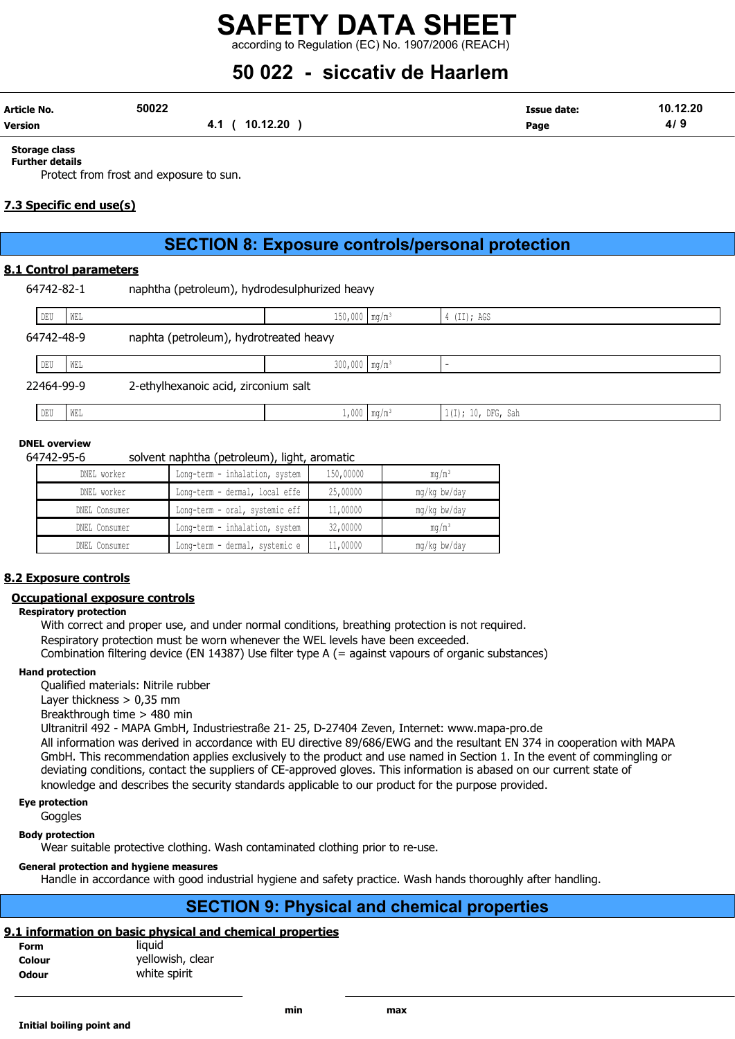## SAFETY DATA SHEET according to Regulation (EC) No. 1907/2006 (REACH)

## 50 022 - siccativ de Haarlem

| Article No.    | 50022           | Issue date: | 10.12.20 |
|----------------|-----------------|-------------|----------|
| <b>Version</b> | 10.12.20<br>. . | Page        | 41       |

#### Storage class Further details

Protect from frost and exposure to sun.

#### 7.3 Specific end use(s)

## SECTION 8: Exposure controls/personal protection

#### 8.1 Control parameters

| 64742-82-1 | naphtha (petroleum), hydrodesulphurized heavy |                             |                     |                    |
|------------|-----------------------------------------------|-----------------------------|---------------------|--------------------|
| DEU<br>WEL |                                               | $150,000$ mg/m <sup>3</sup> |                     | $4$ (II); AGS      |
| 64742-48-9 | naphta (petroleum), hydrotreated heavy        |                             |                     |                    |
| DEU<br>WEL |                                               | $300,000$ mg/m <sup>3</sup> |                     |                    |
| 22464-99-9 | 2-ethylhexanoic acid, zirconium salt          |                             |                     |                    |
| DEU<br>WEL |                                               |                             | $1,000 \mid mg/m^3$ | 1(I); 10, DFG, Sah |
|            |                                               |                             |                     |                    |

#### DNEL overview

64742-95-6 solvent naphtha (petroleum), light, aromatic

| DNEL worker   | Long-term - inhalation, system | 150,00000 | $mq/m^3$          |
|---------------|--------------------------------|-----------|-------------------|
| DNEL worker   | Long-term - dermal, local effe | 25,00000  | mg/kg bw/day      |
| DNEL Consumer | Long-term - oral, systemic eff | 11,00000  | mg/kg bw/day      |
| DNEL Consumer | Long-term - inhalation, system | 32,00000  | mq/m <sup>3</sup> |
| DNEL Consumer | Long-term - dermal, systemic e | 11,00000  | mg/kg bw/day      |

#### 8.2 Exposure controls

#### Occupational exposure controls

#### Respiratory protection

With correct and proper use, and under normal conditions, breathing protection is not required. Respiratory protection must be worn whenever the WEL levels have been exceeded. Combination filtering device (EN 14387) Use filter type A (= against vapours of organic substances)

#### Hand protection

Qualified materials: Nitrile rubber

Layer thickness  $> 0.35$  mm

Breakthrough time > 480 min

Ultranitril 492 - MAPA GmbH, Industriestraße 21- 25, D-27404 Zeven, Internet: www.mapa-pro.de All information was derived in accordance with EU directive 89/686/EWG and the resultant EN 374 in cooperation with MAPA GmbH. This recommendation applies exclusively to the product and use named in Section 1. In the event of commingling or deviating conditions, contact the suppliers of CE-approved gloves. This information is abased on our current state of knowledge and describes the security standards applicable to our product for the purpose provided.

## Eye protection

Goggles

Body protection

Wear suitable protective clothing. Wash contaminated clothing prior to re-use.

#### General protection and hygiene measures

Handle in accordance with good industrial hygiene and safety practice. Wash hands thoroughly after handling.

## SECTION 9: Physical and chemical properties

#### 9.1 information on basic physical and chemical properties

| Form         | liauid           |
|--------------|------------------|
| Colour       | yellowish, clear |
| <b>Odour</b> | white spirit     |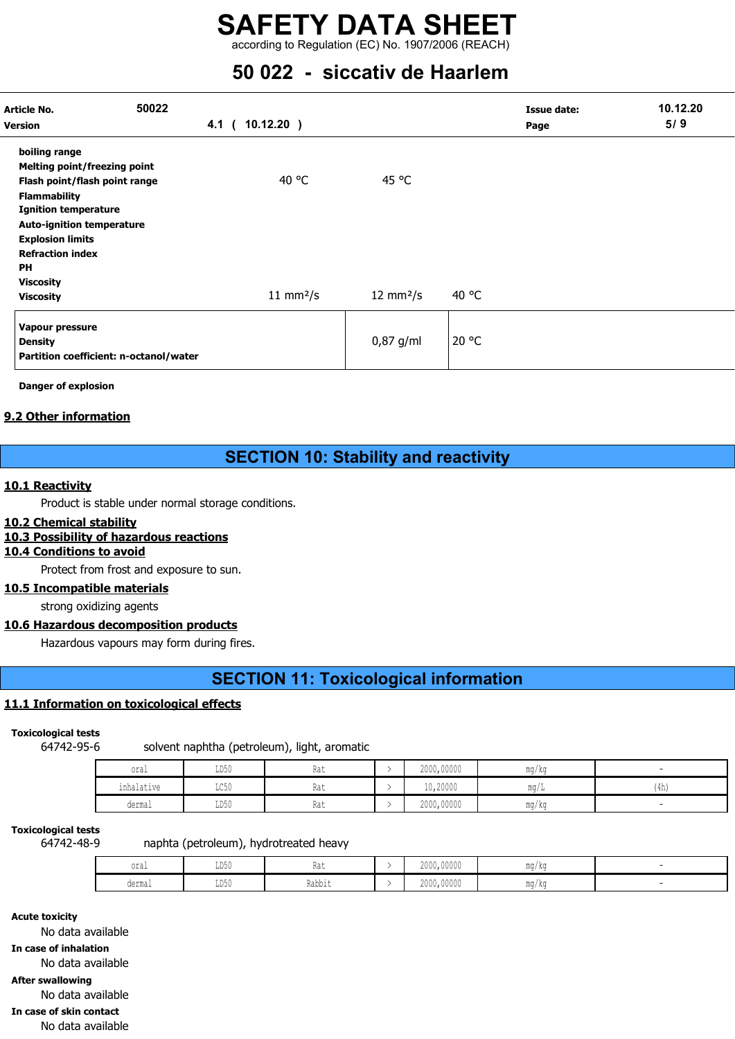according to Regulation (EC) No. 1907/2006 (REACH)

## 50 022 - siccativ de Haarlem

| Article No.<br><b>Version</b>                                                                                                                                                                                                        | 50022 | 4.1 ( 10.12.20 ) |                            | Issue date:<br>Page | 10.12.20<br>5/9 |
|--------------------------------------------------------------------------------------------------------------------------------------------------------------------------------------------------------------------------------------|-------|------------------|----------------------------|---------------------|-----------------|
| boiling range<br>Melting point/freezing point<br>Flash point/flash point range<br><b>Flammability</b><br><b>Ignition temperature</b><br><b>Auto-ignition temperature</b><br><b>Explosion limits</b><br><b>Refraction index</b><br>PH |       | 40 °C            | 45 °C                      |                     |                 |
| <b>Viscosity</b><br><b>Viscosity</b>                                                                                                                                                                                                 |       | 11 mm $2/s$      | $12 \text{ mm}^2/\text{s}$ | 40 °C               |                 |
| Vapour pressure<br><b>Density</b><br>Partition coefficient: n-octanol/water                                                                                                                                                          |       |                  | $0,87$ g/ml                | 20 °C               |                 |

Danger of explosion

#### 9.2 Other information

## SECTION 10: Stability and reactivity

#### 10.1 Reactivity

Product is stable under normal storage conditions.

#### 10.2 Chemical stability

#### 10.3 Possibility of hazardous reactions

#### 10.4 Conditions to avoid

Protect from frost and exposure to sun.

#### 10.5 Incompatible materials

strong oxidizing agents

#### 10.6 Hazardous decomposition products

Hazardous vapours may form during fires.

## SECTION 11: Toxicological information

#### 11.1 Information on toxicological effects

Toxicological tests

64742-95-6 solvent naphtha (petroleum), light, aromatic

| oral       | LD50 | nai | 2000,00000 | mg/kg |      |
|------------|------|-----|------------|-------|------|
| inhalative | LC50 | nai | 10,20000   | ma/L  | (4h) |
| dermal     | LD50 | nai | 2000,00000 | mg/kg |      |

#### Toxicological tests

64742-48-9 naphta (petroleum), hydrotreated heavy

| oral              | <b>TDE</b><br>⊥⊔∪∪ | <b>IWU</b> | 00000<br>0.000<br>ZUUU, UUUUU | mg/kg               |  |
|-------------------|--------------------|------------|-------------------------------|---------------------|--|
| مسمعما<br>wu⊥llu⊥ | $ -$<br>⊥⊔∪∪       | Rabbit     | $\cdots$<br>.<br>ZUUU, UUUUU  | $m \sim$<br>ma / ka |  |

Acute toxicity No data available In case of inhalation No data available After swallowing No data available In case of skin contact No data available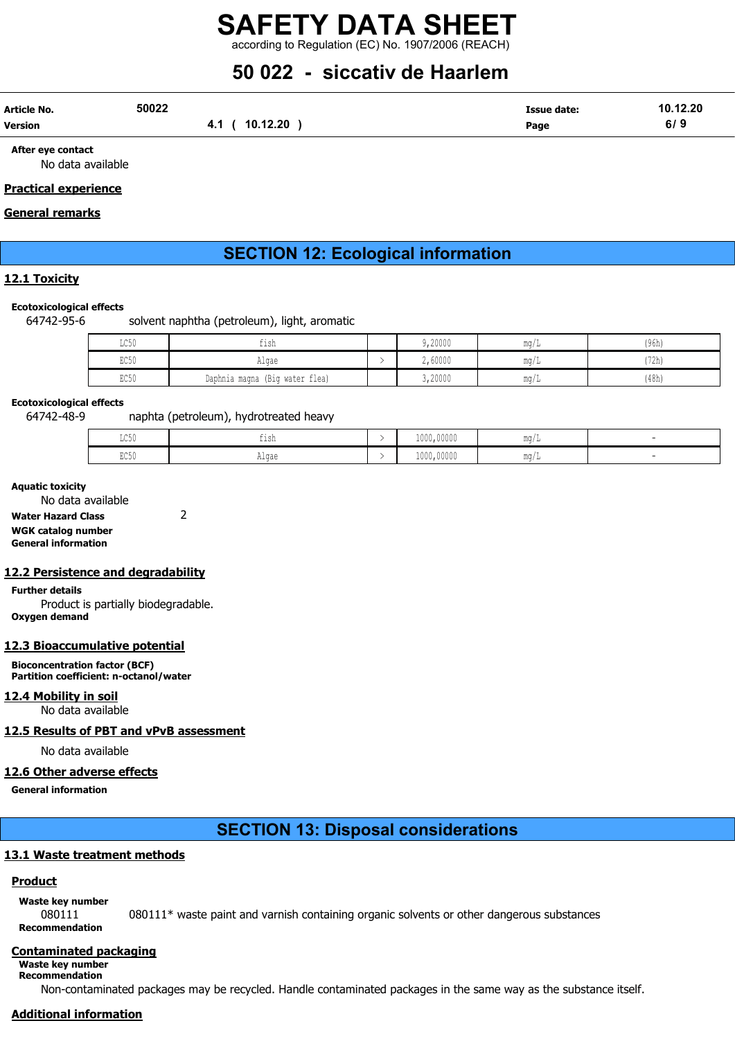## SAFETY DATA SHEET according to Regulation (EC) No. 1907/2006 (REACH)

## 50 022 - siccativ de Haarlem

| Article No.    | 50022          | Issue date:<br>$\begin{array}{cccccccccccccc} \multicolumn{4}{c}{} & \multicolumn{4}{c}{} & \multicolumn{4}{c}{} & \multicolumn{4}{c}{} & \multicolumn{4}{c}{} & \multicolumn{4}{c}{} & \multicolumn{4}{c}{} & \multicolumn{4}{c}{} & \multicolumn{4}{c}{} & \multicolumn{4}{c}{} & \multicolumn{4}{c}{} & \multicolumn{4}{c}{} & \multicolumn{4}{c}{} & \multicolumn{4}{c}{} & \multicolumn{4}{c}{} & \multicolumn{4}{c}{} & \multicolumn{4}{c}{} & \multicolumn{4}{c}{} & \multicolumn{4}{c}{} & \$ | 10.12.20 |
|----------------|----------------|-------------------------------------------------------------------------------------------------------------------------------------------------------------------------------------------------------------------------------------------------------------------------------------------------------------------------------------------------------------------------------------------------------------------------------------------------------------------------------------------------------|----------|
| <b>Version</b> | 10.12.20<br>–… | Page                                                                                                                                                                                                                                                                                                                                                                                                                                                                                                  | 6/3      |

After eye contact No data available

#### Practical experience

#### General remarks

## SECTION 12: Ecological information

#### 12.1 Toxicity

#### Ecotoxicological effects

64742-95-6 solvent naphtha (petroleum), light, aromatic

| $T \cap E \cap$<br><b>TACON</b> | tısh                              | 9,20000 | mq/L               | (96h) |
|---------------------------------|-----------------------------------|---------|--------------------|-------|
| EC50                            | Algae                             | 2,60000 | $m \alpha$<br>uw.  | (72h) |
| EC50                            | (Big water flea)<br>Daphnia magna | 3,20000 | $m\alpha$<br>111 Y | (48h) |

#### Ecotoxicological effects

64742-48-9 naphta (petroleum), hydrotreated heavy

| LC50 | $+ \cdot \cdot$<br>. .<br>ᆂᆂᇦᄓ | 1000,00000 | $m \sim$<br>- 1114 / |  |
|------|--------------------------------|------------|----------------------|--|
| EC50 | Alqae                          | 1000,00000 | $m \sim$<br>-liu /   |  |

#### Aquatic toxicity

No data available

Water Hazard Class 2

#### WGK catalog number General information

#### 12.2 Persistence and degradability

Further details Product is partially biodegradable. Oxygen demand

#### 12.3 Bioaccumulative potential

Bioconcentration factor (BCF) Partition coefficient: n-octanol/water

## 12.4 Mobility in soil

No data available

## 12.5 Results of PBT and vPvB assessment

No data available

#### 12.6 Other adverse effects

General information

## SECTION 13: Disposal considerations

## 13.1 Waste treatment methods

## **Product**

Waste key number

080111 080111\* waste paint and varnish containing organic solvents or other dangerous substances Recommendation

#### Contaminated packaging

Waste key number Recommendation

Non-contaminated packages may be recycled. Handle contaminated packages in the same way as the substance itself.

## Additional information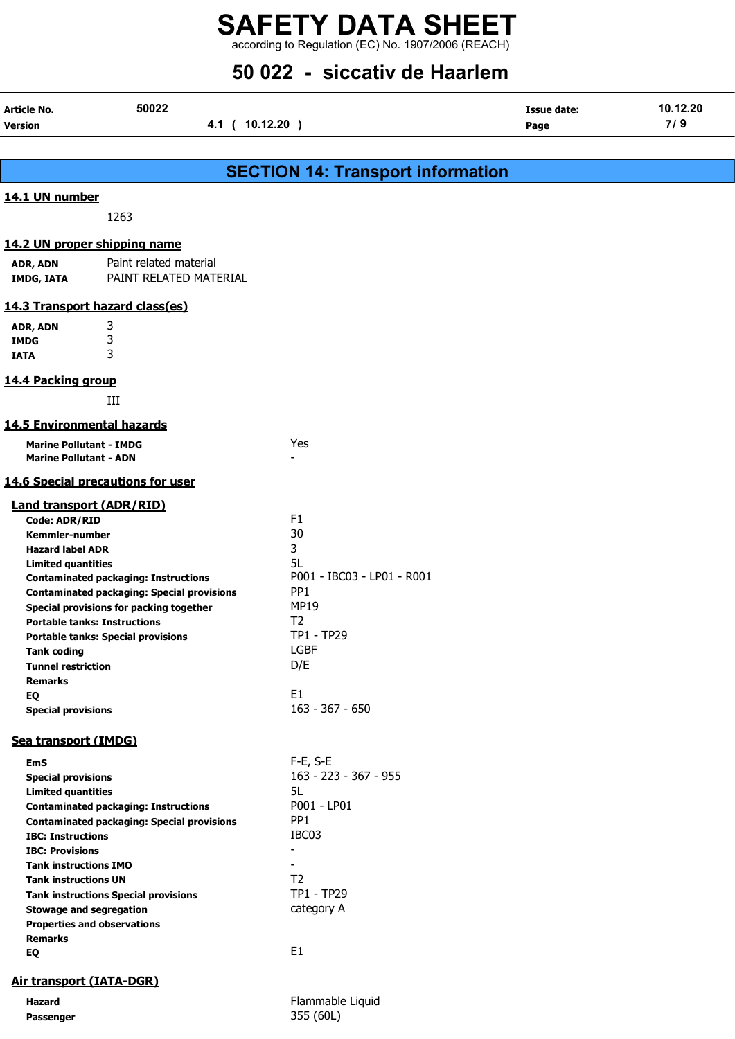according to Regulation (EC) No. 1907/2006 (REACH)

## 50 022 - siccativ de Haarlem

| Article No.<br>Version                                          | 50022<br>4.1 ( 10.12.20 )                                                        |                                            | <b>Issue date:</b><br>Page | 10.12.20<br>7/9 |  |
|-----------------------------------------------------------------|----------------------------------------------------------------------------------|--------------------------------------------|----------------------------|-----------------|--|
|                                                                 |                                                                                  |                                            |                            |                 |  |
|                                                                 |                                                                                  | <b>SECTION 14: Transport information</b>   |                            |                 |  |
| 14.1 UN number                                                  |                                                                                  |                                            |                            |                 |  |
|                                                                 | 1263                                                                             |                                            |                            |                 |  |
|                                                                 |                                                                                  |                                            |                            |                 |  |
|                                                                 | 14.2 UN proper shipping name                                                     |                                            |                            |                 |  |
| ADR, ADN<br><b>IMDG, IATA</b>                                   | Paint related material<br>PAINT RELATED MATERIAL                                 |                                            |                            |                 |  |
|                                                                 | 14.3 Transport hazard class(es)                                                  |                                            |                            |                 |  |
| ADR, ADN                                                        | 3                                                                                |                                            |                            |                 |  |
| <b>IMDG</b>                                                     | 3                                                                                |                                            |                            |                 |  |
| <b>IATA</b>                                                     | 3                                                                                |                                            |                            |                 |  |
| 14.4 Packing group                                              |                                                                                  |                                            |                            |                 |  |
|                                                                 | Ш                                                                                |                                            |                            |                 |  |
| <b>14.5 Environmental hazards</b>                               |                                                                                  |                                            |                            |                 |  |
|                                                                 |                                                                                  |                                            |                            |                 |  |
| <b>Marine Pollutant - IMDG</b><br><b>Marine Pollutant - ADN</b> |                                                                                  | Yes                                        |                            |                 |  |
|                                                                 | <b>14.6 Special precautions for user</b>                                         |                                            |                            |                 |  |
|                                                                 | <b>Land transport (ADR/RID)</b>                                                  |                                            |                            |                 |  |
| Code: ADR/RID                                                   |                                                                                  | F <sub>1</sub>                             |                            |                 |  |
| Kemmler-number                                                  |                                                                                  | 30                                         |                            |                 |  |
| <b>Hazard label ADR</b>                                         |                                                                                  | 3                                          |                            |                 |  |
| <b>Limited quantities</b>                                       |                                                                                  | 5L                                         |                            |                 |  |
|                                                                 | <b>Contaminated packaging: Instructions</b>                                      | P001 - IBC03 - LP01 - R001                 |                            |                 |  |
|                                                                 | <b>Contaminated packaging: Special provisions</b>                                | PP <sub>1</sub>                            |                            |                 |  |
|                                                                 | Special provisions for packing together                                          | <b>MP19</b><br>T <sub>2</sub>              |                            |                 |  |
|                                                                 | <b>Portable tanks: Instructions</b><br><b>Portable tanks: Special provisions</b> | TP1 - TP29                                 |                            |                 |  |
| <b>Tank coding</b>                                              |                                                                                  | LGBF                                       |                            |                 |  |
| <b>Tunnel restriction</b>                                       |                                                                                  | D/E                                        |                            |                 |  |
| <b>Remarks</b>                                                  |                                                                                  |                                            |                            |                 |  |
| EQ                                                              |                                                                                  | E <sub>1</sub>                             |                            |                 |  |
| <b>Special provisions</b>                                       |                                                                                  | $163 - 367 - 650$                          |                            |                 |  |
| Sea transport (IMDG)                                            |                                                                                  |                                            |                            |                 |  |
| <b>EmS</b>                                                      |                                                                                  | F-E, S-E                                   |                            |                 |  |
| <b>Special provisions</b>                                       |                                                                                  | 163 - 223 - 367 - 955                      |                            |                 |  |
| <b>Limited quantities</b>                                       |                                                                                  | 5L                                         |                            |                 |  |
|                                                                 | <b>Contaminated packaging: Instructions</b>                                      | P001 - LP01                                |                            |                 |  |
|                                                                 | <b>Contaminated packaging: Special provisions</b>                                | PP <sub>1</sub>                            |                            |                 |  |
| <b>IBC: Instructions</b>                                        |                                                                                  | IBC03                                      |                            |                 |  |
| <b>IBC: Provisions</b>                                          |                                                                                  | $\blacksquare$                             |                            |                 |  |
| <b>Tank instructions IMO</b>                                    |                                                                                  | $\overline{\phantom{0}}$<br>T <sub>2</sub> |                            |                 |  |
| <b>Tank instructions UN</b>                                     |                                                                                  | TP1 - TP29                                 |                            |                 |  |
|                                                                 | <b>Tank instructions Special provisions</b><br><b>Stowage and segregation</b>    | category A                                 |                            |                 |  |
|                                                                 | <b>Properties and observations</b>                                               |                                            |                            |                 |  |
| <b>Remarks</b>                                                  |                                                                                  |                                            |                            |                 |  |
| EQ                                                              |                                                                                  | E1                                         |                            |                 |  |
| <b>Air transport (IATA-DGR)</b>                                 |                                                                                  |                                            |                            |                 |  |
| <b>Hazard</b>                                                   |                                                                                  | Flammable Liquid                           |                            |                 |  |
| Passenger                                                       |                                                                                  | 355 (60L)                                  |                            |                 |  |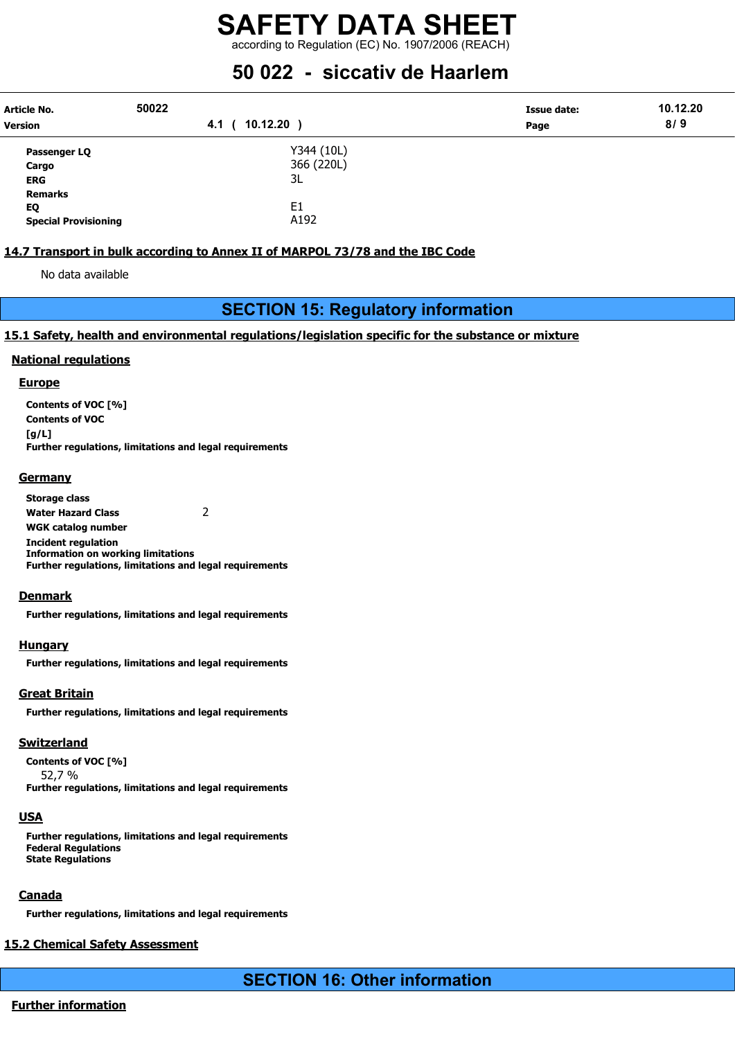according to Regulation (EC) No. 1907/2006 (REACH)

## 50 022 - siccativ de Haarlem

| Article No.<br><b>Version</b> | 50022<br>10.12.20<br>4.1 ( | Issue date:<br>Page | 10.12.20<br>8/9 |
|-------------------------------|----------------------------|---------------------|-----------------|
| Passenger LQ                  | Y344 (10L)                 |                     |                 |
| Cargo                         | 366 (220L)                 |                     |                 |
| <b>ERG</b>                    | 3L                         |                     |                 |
| <b>Remarks</b>                |                            |                     |                 |
| EQ                            | E <sub>1</sub>             |                     |                 |
| <b>Special Provisioning</b>   | A192                       |                     |                 |

#### 14.7 Transport in bulk according to Annex II of MARPOL 73/78 and the IBC Code

No data available

## SECTION 15: Regulatory information

#### 15.1 Safety, health and environmental regulations/legislation specific for the substance or mixture

#### National regulations

#### **Europe**

Contents of VOC [%] Contents of VOC  $[a/L]$ Further regulations, limitations and legal requirements

#### **Germany**

Storage class Water Hazard Class 2 WGK catalog number Incident regulation Information on working limitations Further regulations, limitations and legal requirements

#### Denmark

Further regulations, limitations and legal requirements

#### **Hungary**

Further regulations, limitations and legal requirements

#### Great Britain

Further regulations, limitations and legal requirements

#### **Switzerland**

Contents of VOC [%]

52,7 % Further regulations, limitations and legal requirements

#### USA

Further regulations, limitations and legal requirements Federal Regulations State Regulations

## **Canada**

Further regulations, limitations and legal requirements

## 15.2 Chemical Safety Assessment

SECTION 16: Other information